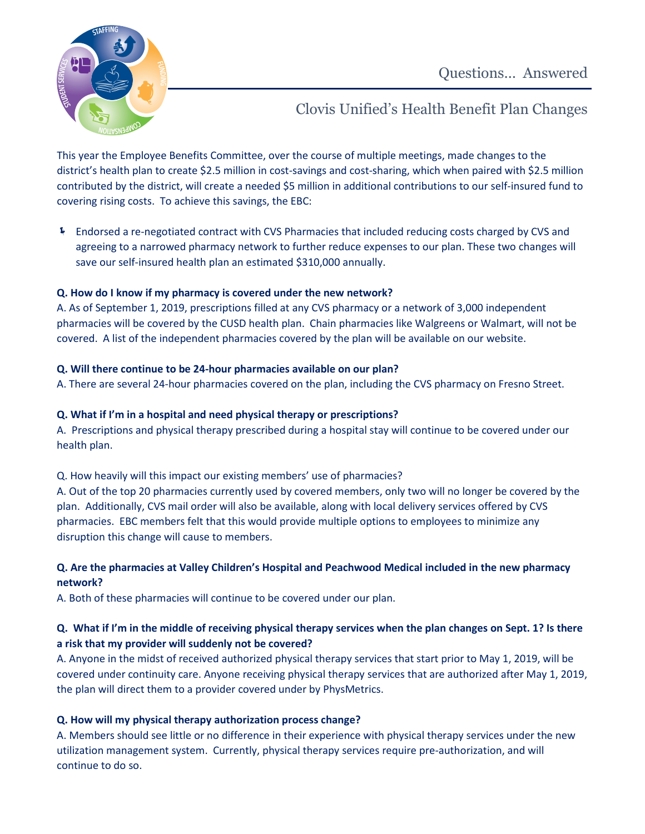

Clovis Unified's Health Benefit Plan Changes

This year the Employee Benefits Committee, over the course of multiple meetings, made changes to the district's health plan to create \$2.5 million in cost-savings and cost-sharing, which when paired with \$2.5 million contributed by the district, will create a needed \$5 million in additional contributions to our self-insured fund to covering rising costs. To achieve this savings, the EBC:

 Endorsed a re-negotiated contract with CVS Pharmacies that included reducing costs charged by CVS and agreeing to a narrowed pharmacy network to further reduce expenses to our plan. These two changes will save our self-insured health plan an estimated \$310,000 annually.

## **Q. How do I know if my pharmacy is covered under the new network?**

A. As of September 1, 2019, prescriptions filled at any CVS pharmacy or a network of 3,000 independent pharmacies will be covered by the CUSD health plan. Chain pharmacies like Walgreens or Walmart, will not be covered. A list of the independent pharmacies covered by the plan will be available on our website.

#### **Q. Will there continue to be 24-hour pharmacies available on our plan?**

A. There are several 24-hour pharmacies covered on the plan, including the CVS pharmacy on Fresno Street.

#### **Q. What if I'm in a hospital and need physical therapy or prescriptions?**

A. Prescriptions and physical therapy prescribed during a hospital stay will continue to be covered under our health plan.

Q. How heavily will this impact our existing members' use of pharmacies?

A. Out of the top 20 pharmacies currently used by covered members, only two will no longer be covered by the plan. Additionally, CVS mail order will also be available, along with local delivery services offered by CVS pharmacies. EBC members felt that this would provide multiple options to employees to minimize any disruption this change will cause to members.

## **Q. Are the pharmacies at Valley Children's Hospital and Peachwood Medical included in the new pharmacy network?**

A. Both of these pharmacies will continue to be covered under our plan.

## **Q. What if I'm in the middle of receiving physical therapy services when the plan changes on Sept. 1? Is there a risk that my provider will suddenly not be covered?**

A. Anyone in the midst of received authorized physical therapy services that start prior to May 1, 2019, will be covered under continuity care. Anyone receiving physical therapy services that are authorized after May 1, 2019, the plan will direct them to a provider covered under by PhysMetrics.

## **Q. How will my physical therapy authorization process change?**

A. Members should see little or no difference in their experience with physical therapy services under the new utilization management system. Currently, physical therapy services require pre-authorization, and will continue to do so.